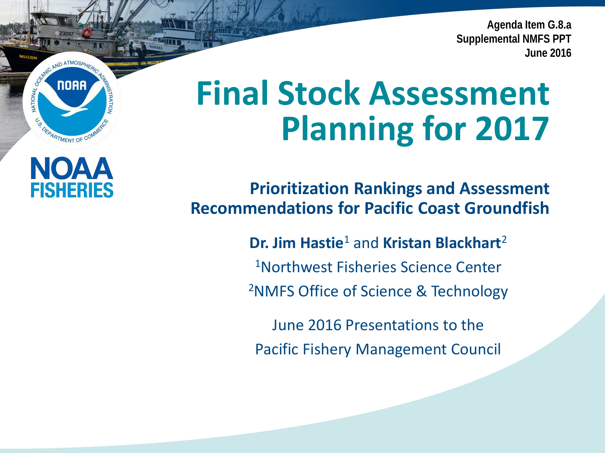**Agenda Item G.8.a Supplemental NMFS PPT June 2016**

# **Final Stock Assessment Planning for 2017**

**NORR** 

OFPARTMENT OF CON

**FISHERIES** 

NATIONAL

**Prioritization Rankings and Assessment Recommendations for Pacific Coast Groundfish**

> **Dr. Jim Hastie**<sup>1</sup> and **Kristan Blackhart**<sup>2</sup> 1Northwest Fisheries Science Center 2NMFS Office of Science & Technology

June 2016 Presentations to the Pacific Fishery Management Council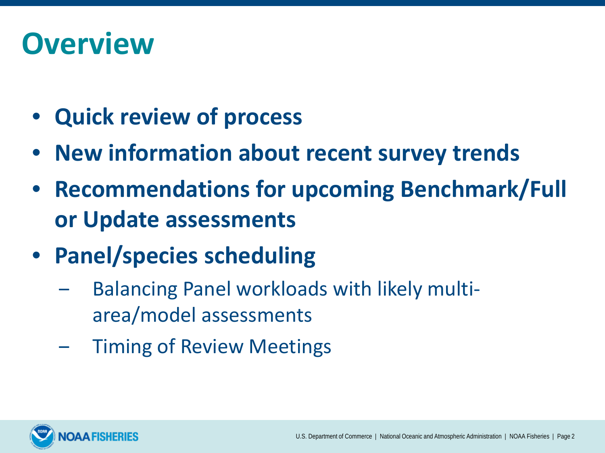## **Overview**

- **Quick review of process**
- **New information about recent survey trends**
- **Recommendations for upcoming Benchmark/Full or Update assessments**
- **Panel/species scheduling**
	- ‒ Balancing Panel workloads with likely multiarea/model assessments
	- ‒ Timing of Review Meetings

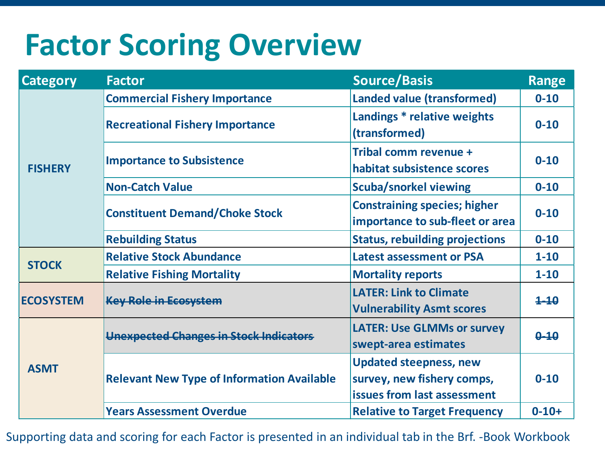## **Factor Scoring Overview**

| <b>Category</b>                                                                                                                                                                                                                                                                                                                                                                                                                                                                                                                                                                                                                                                                                                                                                                                                                                                                                                                                                                    | <b>Factor</b>                        | <b>Source/Basis</b>                 | <b>Range</b> |
|------------------------------------------------------------------------------------------------------------------------------------------------------------------------------------------------------------------------------------------------------------------------------------------------------------------------------------------------------------------------------------------------------------------------------------------------------------------------------------------------------------------------------------------------------------------------------------------------------------------------------------------------------------------------------------------------------------------------------------------------------------------------------------------------------------------------------------------------------------------------------------------------------------------------------------------------------------------------------------|--------------------------------------|-------------------------------------|--------------|
|                                                                                                                                                                                                                                                                                                                                                                                                                                                                                                                                                                                                                                                                                                                                                                                                                                                                                                                                                                                    | <b>Commercial Fishery Importance</b> | <b>Landed value (transformed)</b>   | $0 - 10$     |
| Landings * relative weights<br><b>Recreational Fishery Importance</b><br>(transformed)<br>Tribal comm revenue +<br><b>Importance to Subsistence</b><br><b>FISHERY</b><br>habitat subsistence scores<br><b>Non-Catch Value</b><br><b>Scuba/snorkel viewing</b><br><b>Constraining species; higher</b><br><b>Constituent Demand/Choke Stock</b><br><b>Rebuilding Status</b><br><b>Status, rebuilding projections</b><br><b>Relative Stock Abundance</b><br><b>Latest assessment or PSA</b><br><b>STOCK</b><br><b>Relative Fishing Mortality</b><br><b>Mortality reports</b><br><b>LATER: Link to Climate</b><br><b>ECOSYSTEM</b><br><b>Key Role in Ecosystem</b><br><b>Vulnerability Asmt scores</b><br><b>LATER: Use GLMMs or survey</b><br><b>Unexpected Changes in Stock Indicators</b><br>swept-area estimates<br><b>Updated steepness, new</b><br><b>ASMT</b><br><b>Relevant New Type of Information Available</b><br>survey, new fishery comps,<br>issues from last assessment |                                      | $0 - 10$                            |              |
|                                                                                                                                                                                                                                                                                                                                                                                                                                                                                                                                                                                                                                                                                                                                                                                                                                                                                                                                                                                    | $0 - 10$                             |                                     |              |
|                                                                                                                                                                                                                                                                                                                                                                                                                                                                                                                                                                                                                                                                                                                                                                                                                                                                                                                                                                                    |                                      |                                     | $0 - 10$     |
|                                                                                                                                                                                                                                                                                                                                                                                                                                                                                                                                                                                                                                                                                                                                                                                                                                                                                                                                                                                    |                                      | importance to sub-fleet or area     | $0 - 10$     |
|                                                                                                                                                                                                                                                                                                                                                                                                                                                                                                                                                                                                                                                                                                                                                                                                                                                                                                                                                                                    |                                      |                                     | $0 - 10$     |
|                                                                                                                                                                                                                                                                                                                                                                                                                                                                                                                                                                                                                                                                                                                                                                                                                                                                                                                                                                                    |                                      |                                     | $1 - 10$     |
|                                                                                                                                                                                                                                                                                                                                                                                                                                                                                                                                                                                                                                                                                                                                                                                                                                                                                                                                                                                    |                                      |                                     | $1 - 10$     |
|                                                                                                                                                                                                                                                                                                                                                                                                                                                                                                                                                                                                                                                                                                                                                                                                                                                                                                                                                                                    |                                      |                                     | $1 - 10$     |
|                                                                                                                                                                                                                                                                                                                                                                                                                                                                                                                                                                                                                                                                                                                                                                                                                                                                                                                                                                                    |                                      |                                     | $0 - 10$     |
|                                                                                                                                                                                                                                                                                                                                                                                                                                                                                                                                                                                                                                                                                                                                                                                                                                                                                                                                                                                    |                                      |                                     | $0 - 10$     |
|                                                                                                                                                                                                                                                                                                                                                                                                                                                                                                                                                                                                                                                                                                                                                                                                                                                                                                                                                                                    | <b>Years Assessment Overdue</b>      | <b>Relative to Target Frequency</b> | $0 - 10 +$   |

Supporting data and scoring for each Factor is presented in an individual tab in the Brf. -Book Workbook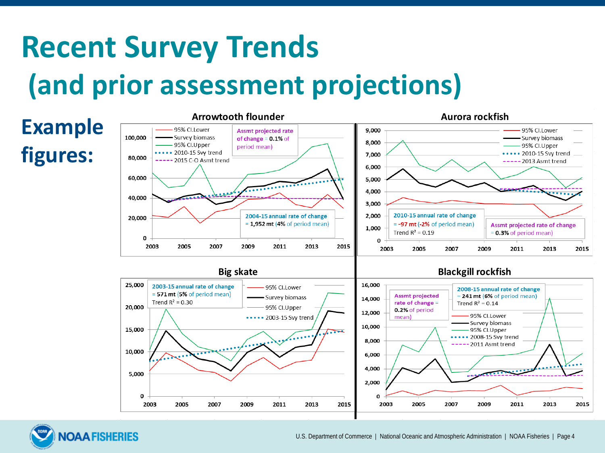# **Recent Survey Trends (and prior assessment projections)**

## **Example figures:**



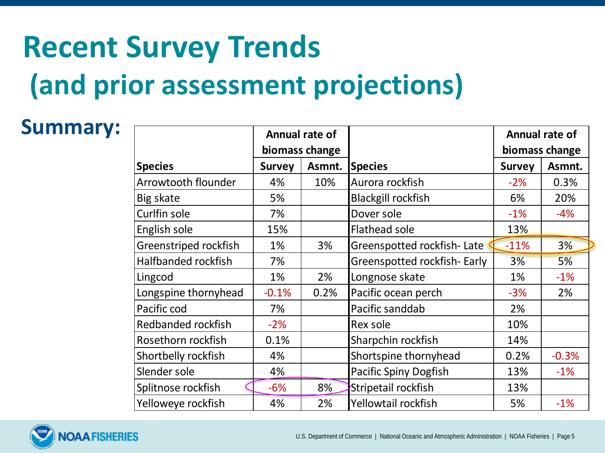# **Recent Survey Trends (and prior assessment projections)**

#### **Summary:**

|                       |               | Annual rate of |                              | Annual rate of |         |  |  |
|-----------------------|---------------|----------------|------------------------------|----------------|---------|--|--|
|                       |               | biomass change |                              | biomass change |         |  |  |
| <b>Species</b>        | <b>Survey</b> | Asmnt.         | <b>Species</b>               | <b>Survey</b>  | Asmnt.  |  |  |
| Arrowtooth flounder   | 4%            | 10%            | Aurora rockfish              | $-2%$          | 0.3%    |  |  |
| Big skate             | 5%            |                | <b>Blackgill rockfish</b>    | 6%             | 20%     |  |  |
| Curlfin sole          | 7%            |                | Dover sole                   | $-1%$          | $-4%$   |  |  |
| English sole          | 15%           |                | <b>Flathead sole</b>         | 13%            |         |  |  |
| Greenstriped rockfish | 1%            | 3%             | Greenspotted rockfish-Late   | $-11%$         | 3%      |  |  |
| Halfbanded rockfish   | 7%            |                | Greenspotted rockfish- Early | 3%             | 5%      |  |  |
| Lingcod               | 1%            | 2%             | Longnose skate               | 1%             | $-1%$   |  |  |
| Longspine thornyhead  | $-0.1%$       | 0.2%           | Pacific ocean perch          | $-3%$          | 2%      |  |  |
| Pacific cod           | 7%            |                | Pacific sanddab              | 2%             |         |  |  |
| Redbanded rockfish    | $-2%$         |                | Rex sole                     | 10%            |         |  |  |
| Rosethorn rockfish    | 0.1%          |                | Sharpchin rockfish           | 14%            |         |  |  |
| Shortbelly rockfish   | 4%            |                | Shortspine thornyhead        | 0.2%           | $-0.3%$ |  |  |
| Slender sole          | 4%            |                | <b>Pacific Spiny Dogfish</b> | 13%            | $-1\%$  |  |  |
| Splitnose rockfish    | $-6%$         | 8%             | Stripetail rockfish          | 13%            |         |  |  |
| Yelloweye rockfish    | 4%            | 2%             | Yellowtail rockfish          | 5%             | $-1%$   |  |  |

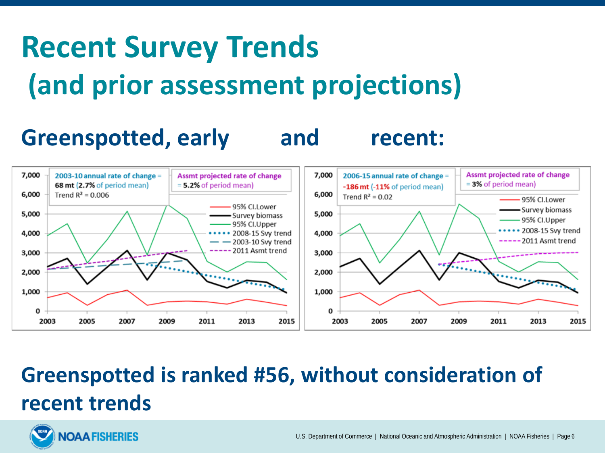# **Recent Survey Trends (and prior assessment projections)**

## **Greenspotted, early and recent:**



## **Greenspotted is ranked #56, without consideration of recent trends**

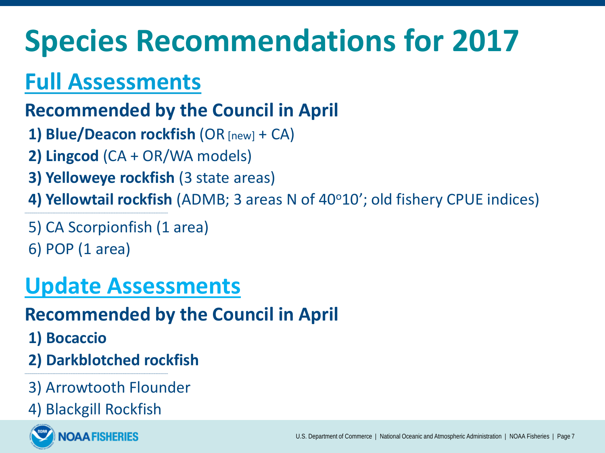## **Species Recommendations for 2017**

## **Full Assessments**

#### **Recommended by the Council in April**

- **1) Blue/Deacon rockfish** (OR [new] + CA)
- **2) Lingcod** (CA + OR/WA models)
- **3) Yelloweye rockfish** (3 state areas)
- **4) Yellowtail rockfish** (ADMB; 3 areas N of 40<sup>o</sup>10'; old fishery CPUE indices)

5) CA Scorpionfish (1 area) 6) POP (1 area)

**-----------------------------------------------------------------------------------------------------------------------------------------**

## **Update Assessments**

#### **Recommended by the Council in April**

- **1) Bocaccio**
- **2) Darkblotched rockfish**
- 3) Arrowtooth Flounder
- 4) Blackgill Rockfish

**-----------------------------------------------------------------------------------------------------------------------------------------**

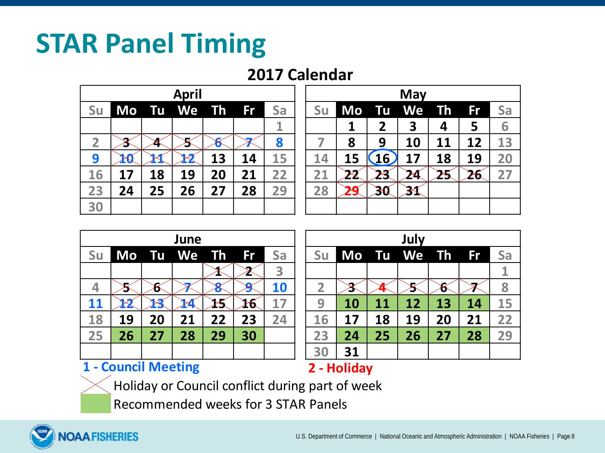## **STAR Panel Timing**

#### **2017 Calendar**

|              |    |    | <b>April</b> |    |    |    | May |    |                  |    |
|--------------|----|----|--------------|----|----|----|-----|----|------------------|----|
| <b>Su</b>    | Mo |    | Tu We Th Fr  |    |    | Sa | Su  | Mo | <b>Tu</b>        | We |
|              |    |    |              |    |    | 1  |     | 1  | $\mathbf{2}$     | 3  |
| $\mathbf{2}$ |    |    | 5            |    |    | 8  |     | 8  | 9                | 10 |
| 9            |    |    | X            | 13 | 14 | 15 | 14  | 15 | $\overline{.16}$ | 17 |
| 16           | 17 | 18 | 19           | 20 | 21 | 22 | 21  | 22 | 23               | 24 |
| 23           | 24 | 25 | 26           | 27 | 28 | 29 | 28  | 29 | 30               | Ж  |
| 30           |    |    |              |    |    |    |     |    |                  |    |

|              | <b>April</b> |    |             |    |           |    |  | May |    |           |           |           |    |    |  |
|--------------|--------------|----|-------------|----|-----------|----|--|-----|----|-----------|-----------|-----------|----|----|--|
| <b>Su</b>    |              |    | Mo Tu We Th |    | <b>Fr</b> | Sa |  | Su  | Mo | <b>Tu</b> | We        | <b>Th</b> | Fr | Sa |  |
|              |              |    |             |    |           |    |  |     |    | 2         | 3         | 4         | 5  | 6  |  |
| $\mathbf{2}$ |              |    |             |    |           | 8  |  |     | 8  | 9         | <b>10</b> | 11        | 12 | 13 |  |
| 9            |              |    |             | 13 | 14        | 15 |  | 14  | 15 | <b>16</b> | 17        | 18        | 19 | 20 |  |
| 16           | 17           | 18 | 19          | 20 | 21        | 22 |  | 21  | 22 | 23        | 24        | 25        | 26 | 27 |  |
| 23           | 24           | 25 | 26          | 27 | 28        | 29 |  | 28  | 29 | 30        | 31        |           |    |    |  |
| 30           |              |    |             |    |           |    |  |     |    |           |           |           |    |    |  |

| June |    |    |                |    |    |                         |  |  |  |  |  |
|------|----|----|----------------|----|----|-------------------------|--|--|--|--|--|
| Su   |    |    | Mo Tu We Th Fr |    |    | Sa                      |  |  |  |  |  |
|      |    |    |                | 1  | Z  | $\overline{\mathbf{3}}$ |  |  |  |  |  |
| 4    | 5  | წ  |                | 8  | 8  | 10                      |  |  |  |  |  |
| 11   |    |    |                |    | 26 | 17                      |  |  |  |  |  |
| 18   | 19 | 20 | 21             | 22 | 23 | 24                      |  |  |  |  |  |
| 25   | 26 | 27 | 28             | 29 | 30 |                         |  |  |  |  |  |
|      |    |    |                |    |    |                         |  |  |  |  |  |

|                | June |       |    |           |           |           | July      |           |           |    |           |    |    |  |  |
|----------------|------|-------|----|-----------|-----------|-----------|-----------|-----------|-----------|----|-----------|----|----|--|--|
| <b>Su</b>      | Mo   | Tu We |    | <b>Th</b> | <b>Fr</b> | Sa        | <b>Su</b> | Mo        | <b>Tu</b> | We | <b>Th</b> | Fr | Sa |  |  |
|                |      |       |    | Ŧ         | ☎         | 3         |           |           |           |    |           |    |    |  |  |
| $\overline{4}$ |      |       |    |           |           | <b>10</b> |           |           |           |    | Ŏ         |    | 8  |  |  |
| 11             |      |       |    |           | PO.       | 17        | 9         | <b>10</b> | 11        | 12 | 13        | 14 | 15 |  |  |
| 18             | 19   | 20    | 21 | 22        | 23        | 24        | <b>16</b> | 17        | 18        | 19 | 20        | 21 | 22 |  |  |
| 25             | 26   | 27    | 28 | 29        | 30        |           | 23        | 24        | 25        | 26 | 27        | 28 | 29 |  |  |
|                |      |       |    |           |           |           | 30        | 31        |           |    |           |    |    |  |  |

#### **1 - Council Meeting 2 - Holiday**

Holiday or Council conflict during part of week

Recommended weeks for 3 STAR Panels